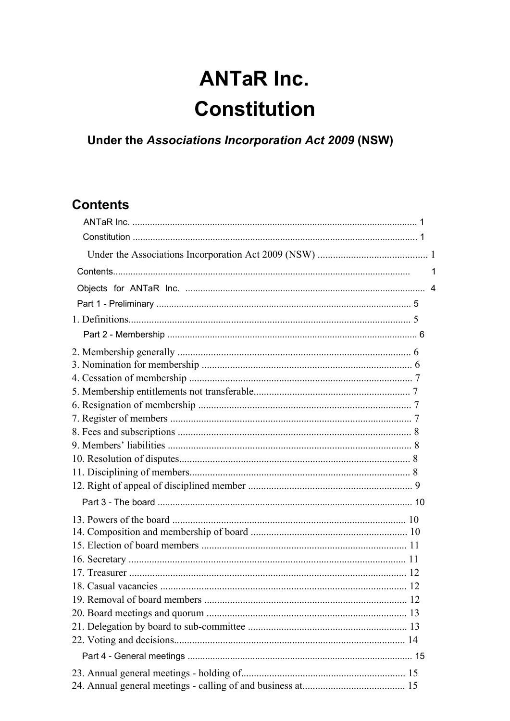# **ANTaR Inc. Constitution**

Under the Associations Incorporation Act 2009 (NSW)

# **Contents**

| $\overline{4}$ |
|----------------|
|                |
|                |
|                |
|                |
|                |
|                |
|                |
|                |
|                |
|                |
|                |
|                |
|                |
|                |
|                |
|                |
|                |
|                |
|                |
|                |
|                |
|                |
|                |
|                |
|                |
|                |
|                |
|                |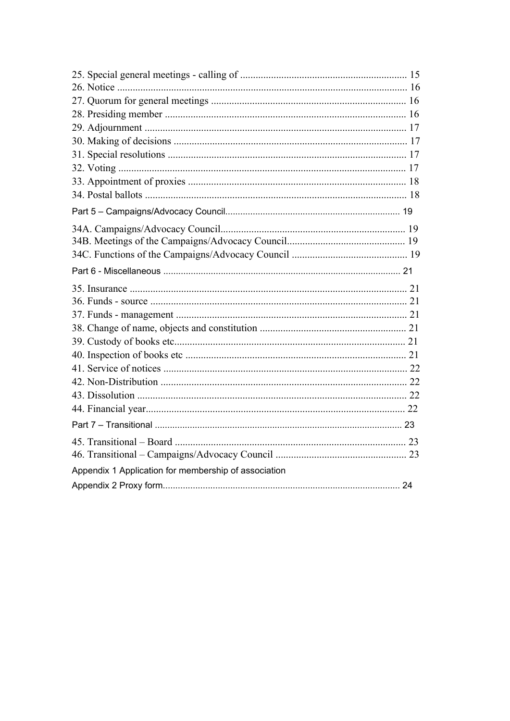| Appendix 1 Application for membership of association |  |
|------------------------------------------------------|--|
|                                                      |  |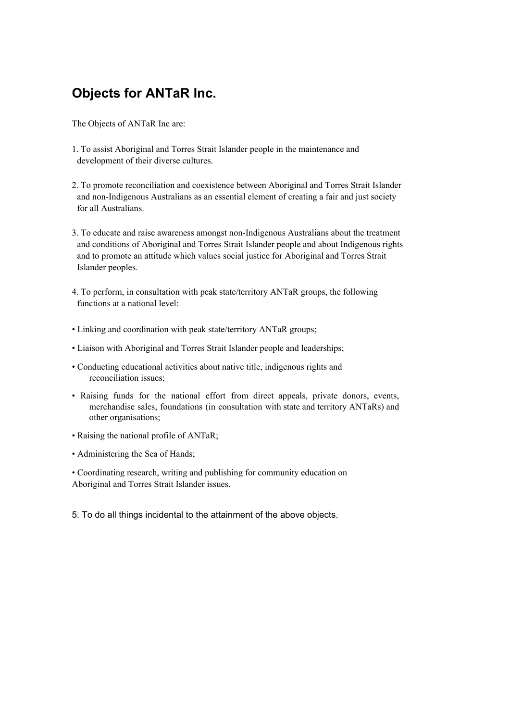# **Objects for ANTaR Inc.**

The Objects of ANTaR Inc are:

- 1. To assist Aboriginal and Torres Strait Islander people in the maintenance and development of their diverse cultures.
- 2. To promote reconciliation and coexistence between Aboriginal and Torres Strait Islander and non-Indigenous Australians as an essential element of creating a fair and just society for all Australians.
- 3. To educate and raise awareness amongst non-Indigenous Australians about the treatment and conditions of Aboriginal and Torres Strait Islander people and about Indigenous rights and to promote an attitude which values social justice for Aboriginal and Torres Strait Islander peoples.
- 4. To perform, in consultation with peak state/territory ANTaR groups, the following functions at a national level:
- Linking and coordination with peak state/territory ANTaR groups;
- Liaison with Aboriginal and Torres Strait Islander people and leaderships;
- Conducting educational activities about native title, indigenous rights and reconciliation issues;
- Raising funds for the national effort from direct appeals, private donors, events, merchandise sales, foundations (in consultation with state and territory ANTaRs) and other organisations;
- Raising the national profile of ANTaR;
- Administering the Sea of Hands;
- Coordinating research, writing and publishing for community education on Aboriginal and Torres Strait Islander issues.
- 5. To do all things incidental to the attainment of the above objects.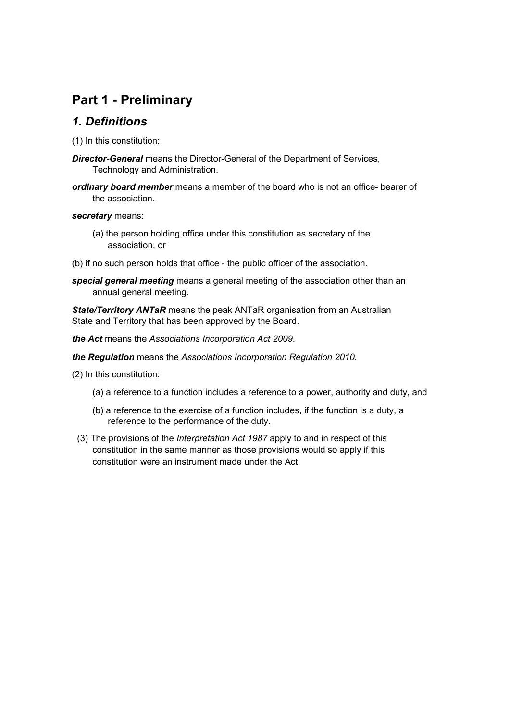# **Part 1 - Preliminary**

#### *1. Definitions*

(1) In this constitution:

- *Director-General* means the Director-General of the Department of Services, Technology and Administration.
- *ordinary board member* means a member of the board who is not an office- bearer of the association.

#### *secretary* means:

- (a) the person holding office under this constitution as secretary of the association, or
- (b) if no such person holds that office the public officer of the association.
- *special general meeting* means a general meeting of the association other than an annual general meeting.

*State/Territory ANTaR* means the peak ANTaR organisation from an Australian State and Territory that has been approved by the Board.

*the Act* means the *Associations Incorporation Act 2009*.

*the Regulation* means the *Associations Incorporation Regulation 2010.*

- (2) In this constitution:
	- (a) a reference to a function includes a reference to a power, authority and duty, and
	- (b) a reference to the exercise of a function includes, if the function is a duty, a reference to the performance of the duty.
	- (3) The provisions of the *Interpretation Act 1987* apply to and in respect of this constitution in the same manner as those provisions would so apply if this constitution were an instrument made under the Act.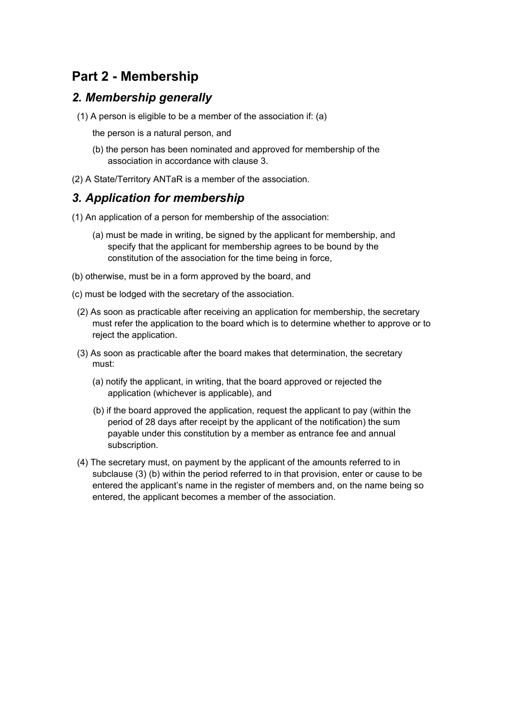# **Part 2 - Membership**

#### *2. Membership generally*

- (1) A person is eligible to be a member of the association if: (a)
	- the person is a natural person, and
	- (b) the person has been nominated and approved for membership of the association in accordance with clause 3.
- (2) A State/Territory ANTaR is a member of the association.

#### *3. Application for membership*

- (1) An application of a person for membership of the association:
	- (a) must be made in writing, be signed by the applicant for membership, and specify that the applicant for membership agrees to be bound by the constitution of the association for the time being in force,
- (b) otherwise, must be in a form approved by the board, and
- (c) must be lodged with the secretary of the association.
	- (2) As soon as practicable after receiving an application for membership, the secretary must refer the application to the board which is to determine whether to approve or to reject the application.
	- (3) As soon as practicable after the board makes that determination, the secretary must:
		- (a) notify the applicant, in writing, that the board approved or rejected the application (whichever is applicable), and
		- (b) if the board approved the application, request the applicant to pay (within the period of 28 days after receipt by the applicant of the notification) the sum payable under this constitution by a member as entrance fee and annual subscription.
	- (4) The secretary must, on payment by the applicant of the amounts referred to in subclause (3) (b) within the period referred to in that provision, enter or cause to be entered the applicant's name in the register of members and, on the name being so entered, the applicant becomes a member of the association.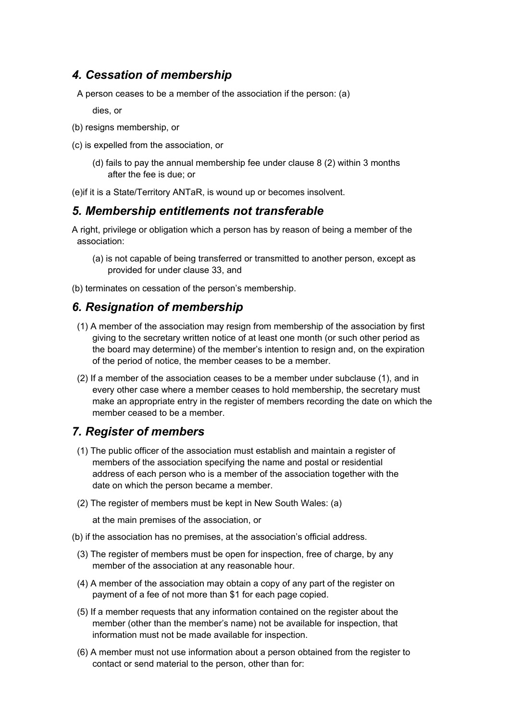### *4. Cessation of membership*

A person ceases to be a member of the association if the person: (a)

dies, or

- (b) resigns membership, or
- (c) is expelled from the association, or
	- (d) fails to pay the annual membership fee under clause 8 (2) within 3 months after the fee is due; or

(e)if it is a State/Territory ANTaR, is wound up or becomes insolvent.

#### *5. Membership entitlements not transferable*

A right, privilege or obligation which a person has by reason of being a member of the association:

(a) is not capable of being transferred or transmitted to another person, except as provided for under clause 33, and

(b) terminates on cessation of the person's membership.

#### *6. Resignation of membership*

- (1) A member of the association may resign from membership of the association by first giving to the secretary written notice of at least one month (or such other period as the board may determine) of the member's intention to resign and, on the expiration of the period of notice, the member ceases to be a member.
- (2) If a member of the association ceases to be a member under subclause (1), and in every other case where a member ceases to hold membership, the secretary must make an appropriate entry in the register of members recording the date on which the member ceased to be a member.

#### *7. Register of members*

- (1) The public officer of the association must establish and maintain a register of members of the association specifying the name and postal or residential address of each person who is a member of the association together with the date on which the person became a member.
- (2) The register of members must be kept in New South Wales: (a)

at the main premises of the association, or

- (b) if the association has no premises, at the association's official address.
	- (3) The register of members must be open for inspection, free of charge, by any member of the association at any reasonable hour.
	- (4) A member of the association may obtain a copy of any part of the register on payment of a fee of not more than \$1 for each page copied.
	- (5) If a member requests that any information contained on the register about the member (other than the member's name) not be available for inspection, that information must not be made available for inspection.
	- (6) A member must not use information about a person obtained from the register to contact or send material to the person, other than for: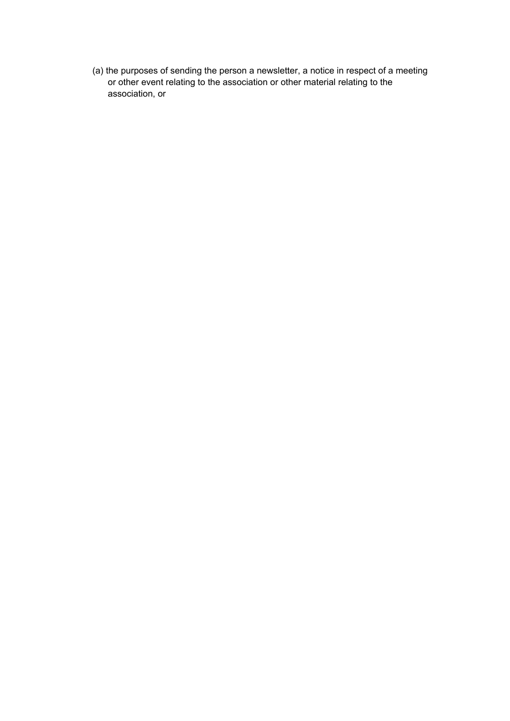(a) the purposes of sending the person a newsletter, a notice in respect of a meeting or other event relating to the association or other material relating to the association, or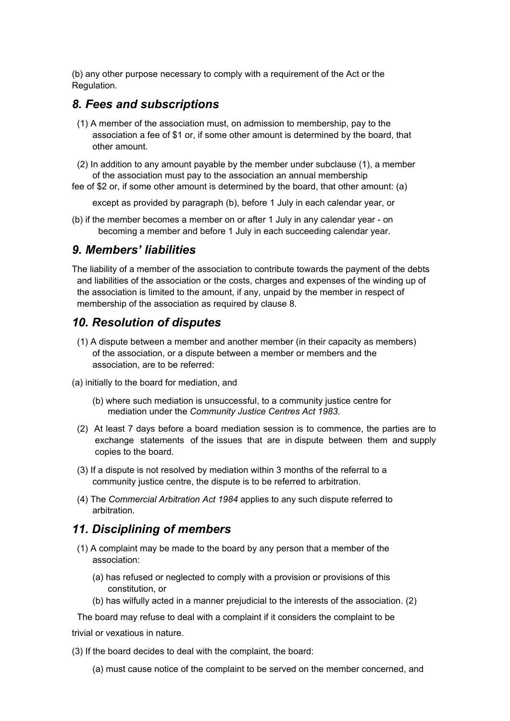(b) any other purpose necessary to comply with a requirement of the Act or the Regulation.

#### *8. Fees and subscriptions*

- (1) A member of the association must, on admission to membership, pay to the association a fee of \$1 or, if some other amount is determined by the board, that other amount.
- (2) In addition to any amount payable by the member under subclause (1), a member of the association must pay to the association an annual membership
- fee of \$2 or, if some other amount is determined by the board, that other amount: (a)

except as provided by paragraph (b), before 1 July in each calendar year, or

(b) if the member becomes a member on or after 1 July in any calendar year - on becoming a member and before 1 July in each succeeding calendar year.

#### *9. Members' liabilities*

The liability of a member of the association to contribute towards the payment of the debts and liabilities of the association or the costs, charges and expenses of the winding up of the association is limited to the amount, if any, unpaid by the member in respect of membership of the association as required by clause 8.

#### *10. Resolution of disputes*

- (1) A dispute between a member and another member (in their capacity as members) of the association, or a dispute between a member or members and the association, are to be referred:
- (a) initially to the board for mediation, and
	- (b) where such mediation is unsuccessful, to a community justice centre for mediation under the *Community Justice Centres Act 1983*.
	- (2) At least 7 days before a board mediation session is to commence, the parties are to exchange statements of the issues that are in dispute between them and supply copies to the board.
	- (3) If a dispute is not resolved by mediation within 3 months of the referral to a community justice centre, the dispute is to be referred to arbitration.
	- (4) The *Commercial Arbitration Act 1984* applies to any such dispute referred to arbitration.

#### *11. Disciplining of members*

- (1) A complaint may be made to the board by any person that a member of the association:
	- (a) has refused or neglected to comply with a provision or provisions of this constitution, or
	- (b) has wilfully acted in a manner prejudicial to the interests of the association. (2)

The board may refuse to deal with a complaint if it considers the complaint to be

trivial or vexatious in nature.

(3) If the board decides to deal with the complaint, the board:

(a) must cause notice of the complaint to be served on the member concerned, and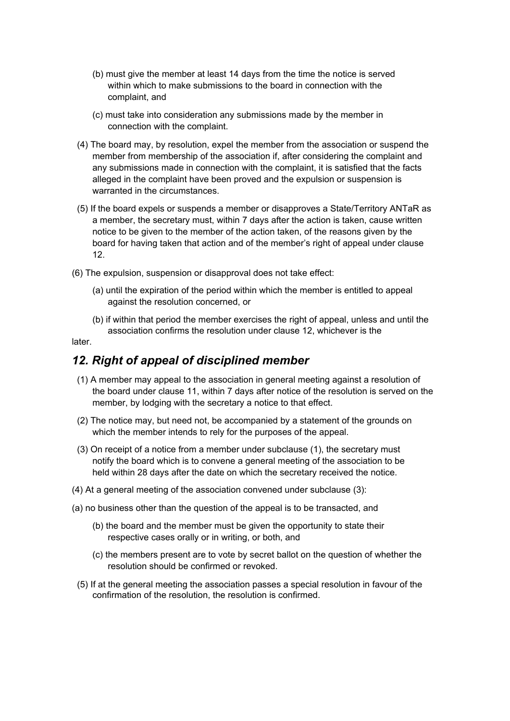- (b) must give the member at least 14 days from the time the notice is served within which to make submissions to the board in connection with the complaint, and
- (c) must take into consideration any submissions made by the member in connection with the complaint.
- (4) The board may, by resolution, expel the member from the association or suspend the member from membership of the association if, after considering the complaint and any submissions made in connection with the complaint, it is satisfied that the facts alleged in the complaint have been proved and the expulsion or suspension is warranted in the circumstances.
- (5) If the board expels or suspends a member or disapproves a State/Territory ANTaR as a member, the secretary must, within 7 days after the action is taken, cause written notice to be given to the member of the action taken, of the reasons given by the board for having taken that action and of the member's right of appeal under clause 12.
- (6) The expulsion, suspension or disapproval does not take effect:
	- (a) until the expiration of the period within which the member is entitled to appeal against the resolution concerned, or
	- (b) if within that period the member exercises the right of appeal, unless and until the association confirms the resolution under clause 12, whichever is the

#### later.

#### *12. Right of appeal of disciplined member*

- (1) A member may appeal to the association in general meeting against a resolution of the board under clause 11, within 7 days after notice of the resolution is served on the member, by lodging with the secretary a notice to that effect.
- (2) The notice may, but need not, be accompanied by a statement of the grounds on which the member intends to rely for the purposes of the appeal.
- (3) On receipt of a notice from a member under subclause (1), the secretary must notify the board which is to convene a general meeting of the association to be held within 28 days after the date on which the secretary received the notice.
- (4) At a general meeting of the association convened under subclause (3):
- (a) no business other than the question of the appeal is to be transacted, and
	- (b) the board and the member must be given the opportunity to state their respective cases orally or in writing, or both, and
	- (c) the members present are to vote by secret ballot on the question of whether the resolution should be confirmed or revoked.
	- (5) If at the general meeting the association passes a special resolution in favour of the confirmation of the resolution, the resolution is confirmed.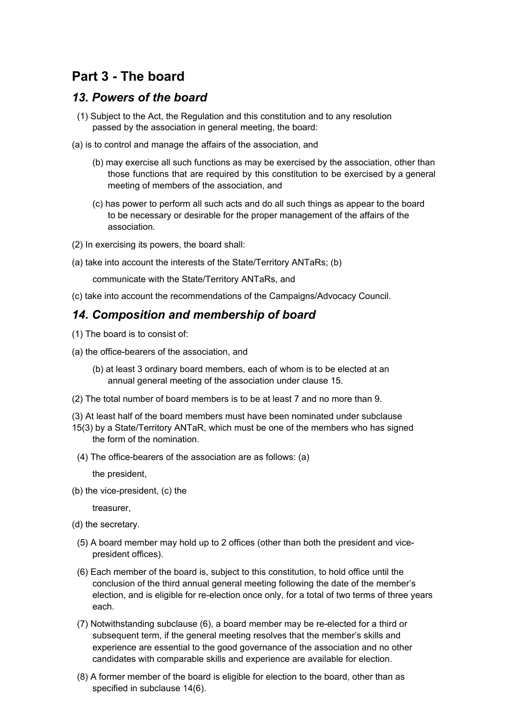# **Part 3 - The board**

#### *13. Powers of the board*

- (1) Subject to the Act, the Regulation and this constitution and to any resolution passed by the association in general meeting, the board:
- (a) is to control and manage the affairs of the association, and
	- (b) may exercise all such functions as may be exercised by the association, other than those functions that are required by this constitution to be exercised by a general meeting of members of the association, and
	- (c) has power to perform all such acts and do all such things as appear to the board to be necessary or desirable for the proper management of the affairs of the association.
- (2) In exercising its powers, the board shall:
- (a) take into account the interests of the State/Territory ANTaRs; (b)

communicate with the State/Territory ANTaRs, and

(c) take into account the recommendations of the Campaigns/Advocacy Council.

#### *14. Composition and membership of board*

- (1) The board is to consist of:
- (a) the office-bearers of the association, and
	- (b) at least 3 ordinary board members, each of whom is to be elected at an annual general meeting of the association under clause 15.
- (2) The total number of board members is to be at least 7 and no more than 9.
- (3) At least half of the board members must have been nominated under subclause
- 15(3) by a State/Territory ANTaR, which must be one of the members who has signed the form of the nomination.
- (4) The office-bearers of the association are as follows: (a)

the president,

(b) the vice-president, (c) the

treasurer,

- (d) the secretary.
	- (5) A board member may hold up to 2 offices (other than both the president and vicepresident offices).
	- (6) Each member of the board is, subject to this constitution, to hold office until the conclusion of the third annual general meeting following the date of the member's election, and is eligible for re-election once only, for a total of two terms of three years each.
	- (7) Notwithstanding subclause (6), a board member may be re-elected for a third or subsequent term, if the general meeting resolves that the member's skills and experience are essential to the good governance of the association and no other candidates with comparable skills and experience are available for election.
	- (8) A former member of the board is eligible for election to the board, other than as specified in subclause 14(6).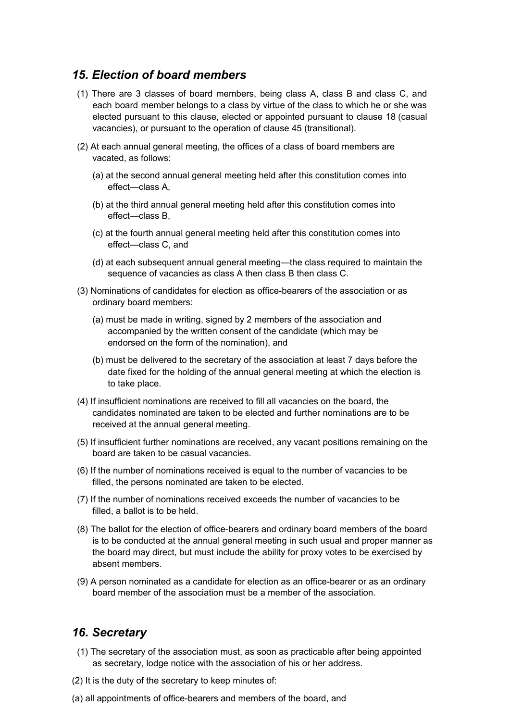#### *15. Election of board members*

- (1) There are 3 classes of board members, being class A, class B and class C, and each board member belongs to a class by virtue of the class to which he or she was elected pursuant to this clause, elected or appointed pursuant to clause 18 (casual vacancies), or pursuant to the operation of clause 45 (transitional).
- (2) At each annual general meeting, the offices of a class of board members are vacated, as follows:
	- (a) at the second annual general meeting held after this constitution comes into effect—class A,
	- (b) at the third annual general meeting held after this constitution comes into effect—class B,
	- (c) at the fourth annual general meeting held after this constitution comes into effect—class C, and
	- (d) at each subsequent annual general meeting—the class required to maintain the sequence of vacancies as class A then class B then class C.
- (3) Nominations of candidates for election as office-bearers of the association or as ordinary board members:
	- (a) must be made in writing, signed by 2 members of the association and accompanied by the written consent of the candidate (which may be endorsed on the form of the nomination), and
	- (b) must be delivered to the secretary of the association at least 7 days before the date fixed for the holding of the annual general meeting at which the election is to take place.
- (4) If insufficient nominations are received to fill all vacancies on the board, the candidates nominated are taken to be elected and further nominations are to be received at the annual general meeting.
- (5) If insufficient further nominations are received, any vacant positions remaining on the board are taken to be casual vacancies.
- (6) If the number of nominations received is equal to the number of vacancies to be filled, the persons nominated are taken to be elected.
- (7) If the number of nominations received exceeds the number of vacancies to be filled, a ballot is to be held.
- (8) The ballot for the election of office-bearers and ordinary board members of the board is to be conducted at the annual general meeting in such usual and proper manner as the board may direct, but must include the ability for proxy votes to be exercised by absent members.
- (9) A person nominated as a candidate for election as an office-bearer or as an ordinary board member of the association must be a member of the association.

#### *16. Secretary*

- (1) The secretary of the association must, as soon as practicable after being appointed as secretary, lodge notice with the association of his or her address.
- (2) It is the duty of the secretary to keep minutes of:
- (a) all appointments of office-bearers and members of the board, and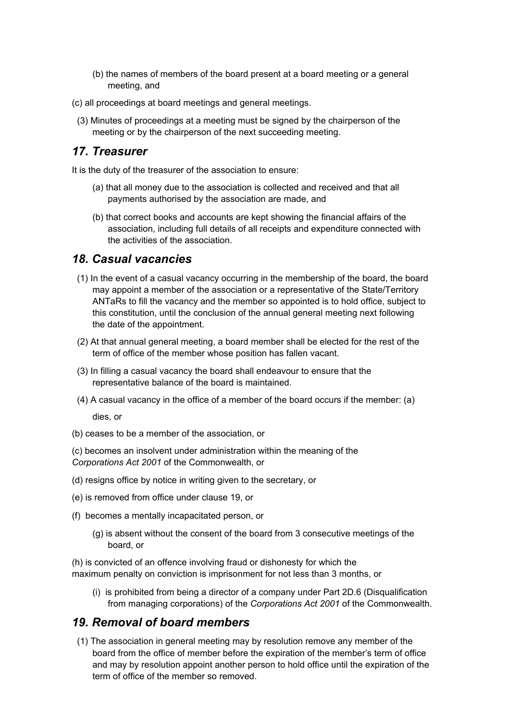- (b) the names of members of the board present at a board meeting or a general meeting, and
- (c) all proceedings at board meetings and general meetings.
- (3) Minutes of proceedings at a meeting must be signed by the chairperson of the meeting or by the chairperson of the next succeeding meeting.

#### *17. Treasurer*

It is the duty of the treasurer of the association to ensure:

- (a) that all money due to the association is collected and received and that all payments authorised by the association are made, and
- (b) that correct books and accounts are kept showing the financial affairs of the association, including full details of all receipts and expenditure connected with the activities of the association.

#### *18. Casual vacancies*

- (1) In the event of a casual vacancy occurring in the membership of the board, the board may appoint a member of the association or a representative of the State/Territory ANTaRs to fill the vacancy and the member so appointed is to hold office, subject to this constitution, until the conclusion of the annual general meeting next following the date of the appointment.
- (2) At that annual general meeting, a board member shall be elected for the rest of the term of office of the member whose position has fallen vacant.
- (3) In filling a casual vacancy the board shall endeavour to ensure that the representative balance of the board is maintained.
- (4) A casual vacancy in the office of a member of the board occurs if the member: (a)

dies, or

- (b) ceases to be a member of the association, or
- (c) becomes an insolvent under administration within the meaning of the *Corporations Act 2001* of the Commonwealth, or
- (d) resigns office by notice in writing given to the secretary, or
- (e) is removed from office under clause 19, or
- (f) becomes a mentally incapacitated person, or
	- (g) is absent without the consent of the board from 3 consecutive meetings of the board, or

(h) is convicted of an offence involving fraud or dishonesty for which the maximum penalty on conviction is imprisonment for not less than 3 months, or

(i) is prohibited from being a director of a company under Part 2D.6 (Disqualification from managing corporations) of the *Corporations Act 2001* of the Commonwealth.

#### *19. Removal of board members*

(1) The association in general meeting may by resolution remove any member of the board from the office of member before the expiration of the member's term of office and may by resolution appoint another person to hold office until the expiration of the term of office of the member so removed.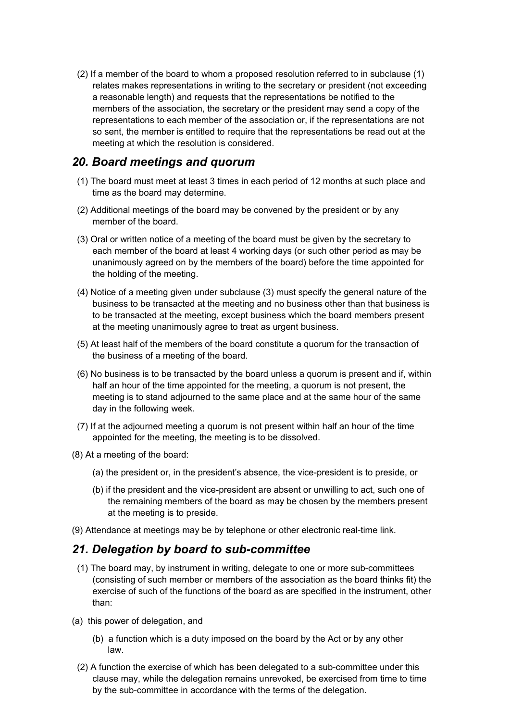(2) If a member of the board to whom a proposed resolution referred to in subclause (1) relates makes representations in writing to the secretary or president (not exceeding a reasonable length) and requests that the representations be notified to the members of the association, the secretary or the president may send a copy of the representations to each member of the association or, if the representations are not so sent, the member is entitled to require that the representations be read out at the meeting at which the resolution is considered.

#### *20. Board meetings and quorum*

- (1) The board must meet at least 3 times in each period of 12 months at such place and time as the board may determine.
- (2) Additional meetings of the board may be convened by the president or by any member of the board.
- (3) Oral or written notice of a meeting of the board must be given by the secretary to each member of the board at least 4 working days (or such other period as may be unanimously agreed on by the members of the board) before the time appointed for the holding of the meeting.
- (4) Notice of a meeting given under subclause (3) must specify the general nature of the business to be transacted at the meeting and no business other than that business is to be transacted at the meeting, except business which the board members present at the meeting unanimously agree to treat as urgent business.
- (5) At least half of the members of the board constitute a quorum for the transaction of the business of a meeting of the board.
- (6) No business is to be transacted by the board unless a quorum is present and if, within half an hour of the time appointed for the meeting, a quorum is not present, the meeting is to stand adjourned to the same place and at the same hour of the same day in the following week.
- (7) If at the adjourned meeting a quorum is not present within half an hour of the time appointed for the meeting, the meeting is to be dissolved.
- (8) At a meeting of the board:
	- (a) the president or, in the president's absence, the vice-president is to preside, or
	- (b) if the president and the vice-president are absent or unwilling to act, such one of the remaining members of the board as may be chosen by the members present at the meeting is to preside.
- (9) Attendance at meetings may be by telephone or other electronic real-time link.

#### *21. Delegation by board to sub-committee*

- (1) The board may, by instrument in writing, delegate to one or more sub-committees (consisting of such member or members of the association as the board thinks fit) the exercise of such of the functions of the board as are specified in the instrument, other than:
- (a) this power of delegation, and
	- (b) a function which is a duty imposed on the board by the Act or by any other law.
	- (2) A function the exercise of which has been delegated to a sub-committee under this clause may, while the delegation remains unrevoked, be exercised from time to time by the sub-committee in accordance with the terms of the delegation.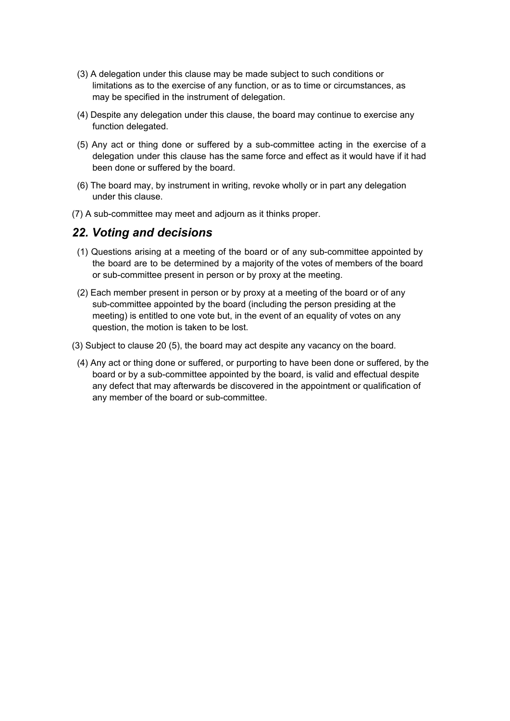- (3) A delegation under this clause may be made subject to such conditions or limitations as to the exercise of any function, or as to time or circumstances, as may be specified in the instrument of delegation.
- (4) Despite any delegation under this clause, the board may continue to exercise any function delegated.
- (5) Any act or thing done or suffered by a sub-committee acting in the exercise of a delegation under this clause has the same force and effect as it would have if it had been done or suffered by the board.
- (6) The board may, by instrument in writing, revoke wholly or in part any delegation under this clause.
- (7) A sub-committee may meet and adjourn as it thinks proper.

#### *22. Voting and decisions*

- (1) Questions arising at a meeting of the board or of any sub-committee appointed by the board are to be determined by a majority of the votes of members of the board or sub-committee present in person or by proxy at the meeting.
- (2) Each member present in person or by proxy at a meeting of the board or of any sub-committee appointed by the board (including the person presiding at the meeting) is entitled to one vote but, in the event of an equality of votes on any question, the motion is taken to be lost.
- (3) Subject to clause 20 (5), the board may act despite any vacancy on the board.
	- (4) Any act or thing done or suffered, or purporting to have been done or suffered, by the board or by a sub-committee appointed by the board, is valid and effectual despite any defect that may afterwards be discovered in the appointment or qualification of any member of the board or sub-committee.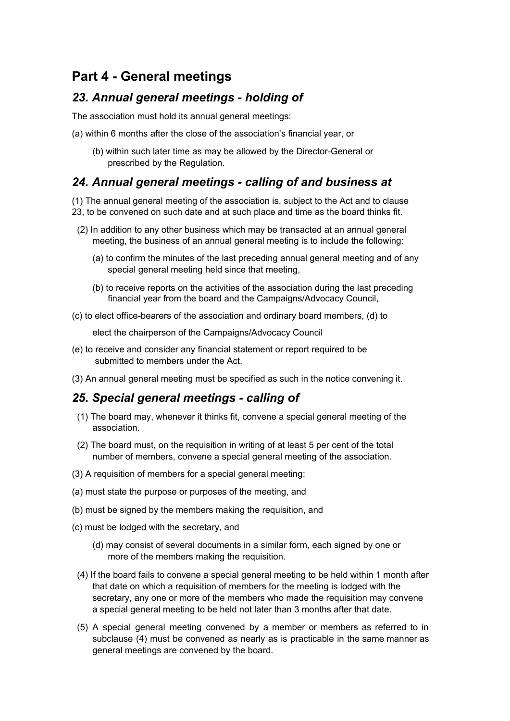# **Part 4 - General meetings**

#### *23. Annual general meetings - holding of*

The association must hold its annual general meetings:

- (a) within 6 months after the close of the association's financial year, or
	- (b) within such later time as may be allowed by the Director-General or prescribed by the Regulation.

### *24. Annual general meetings - calling of and business at*

(1) The annual general meeting of the association is, subject to the Act and to clause 23, to be convened on such date and at such place and time as the board thinks fit.

- (2) In addition to any other business which may be transacted at an annual general meeting, the business of an annual general meeting is to include the following:
	- (a) to confirm the minutes of the last preceding annual general meeting and of any special general meeting held since that meeting,
	- (b) to receive reports on the activities of the association during the last preceding financial year from the board and the Campaigns/Advocacy Council,
- (c) to elect office-bearers of the association and ordinary board members, (d) to

elect the chairperson of the Campaigns/Advocacy Council

- (e) to receive and consider any financial statement or report required to be submitted to members under the Act.
- (3) An annual general meeting must be specified as such in the notice convening it.

#### *25. Special general meetings - calling of*

- (1) The board may, whenever it thinks fit, convene a special general meeting of the association.
- (2) The board must, on the requisition in writing of at least 5 per cent of the total number of members, convene a special general meeting of the association.
- (3) A requisition of members for a special general meeting:
- (a) must state the purpose or purposes of the meeting, and
- (b) must be signed by the members making the requisition, and
- (c) must be lodged with the secretary, and
	- (d) may consist of several documents in a similar form, each signed by one or more of the members making the requisition.
	- (4) If the board fails to convene a special general meeting to be held within 1 month after that date on which a requisition of members for the meeting is lodged with the secretary, any one or more of the members who made the requisition may convene a special general meeting to be held not later than 3 months after that date.
	- (5) A special general meeting convened by a member or members as referred to in subclause (4) must be convened as nearly as is practicable in the same manner as general meetings are convened by the board.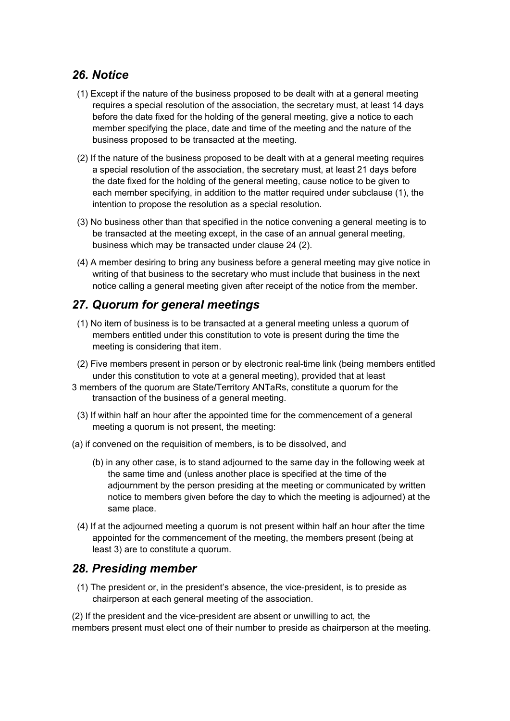### *26. Notice*

- (1) Except if the nature of the business proposed to be dealt with at a general meeting requires a special resolution of the association, the secretary must, at least 14 days before the date fixed for the holding of the general meeting, give a notice to each member specifying the place, date and time of the meeting and the nature of the business proposed to be transacted at the meeting.
- (2) If the nature of the business proposed to be dealt with at a general meeting requires a special resolution of the association, the secretary must, at least 21 days before the date fixed for the holding of the general meeting, cause notice to be given to each member specifying, in addition to the matter required under subclause (1), the intention to propose the resolution as a special resolution.
- (3) No business other than that specified in the notice convening a general meeting is to be transacted at the meeting except, in the case of an annual general meeting, business which may be transacted under clause 24 (2).
- (4) A member desiring to bring any business before a general meeting may give notice in writing of that business to the secretary who must include that business in the next notice calling a general meeting given after receipt of the notice from the member.

### *27. Quorum for general meetings*

- (1) No item of business is to be transacted at a general meeting unless a quorum of members entitled under this constitution to vote is present during the time the meeting is considering that item.
- (2) Five members present in person or by electronic real-time link (being members entitled under this constitution to vote at a general meeting), provided that at least
- 3 members of the quorum are State/Territory ANTaRs, constitute a quorum for the transaction of the business of a general meeting.
	- (3) If within half an hour after the appointed time for the commencement of a general meeting a quorum is not present, the meeting:
- (a) if convened on the requisition of members, is to be dissolved, and
	- (b) in any other case, is to stand adjourned to the same day in the following week at the same time and (unless another place is specified at the time of the adjournment by the person presiding at the meeting or communicated by written notice to members given before the day to which the meeting is adjourned) at the same place.
	- (4) If at the adjourned meeting a quorum is not present within half an hour after the time appointed for the commencement of the meeting, the members present (being at least 3) are to constitute a quorum.

#### *28. Presiding member*

(1) The president or, in the president's absence, the vice-president, is to preside as chairperson at each general meeting of the association.

(2) If the president and the vice-president are absent or unwilling to act, the members present must elect one of their number to preside as chairperson at the meeting.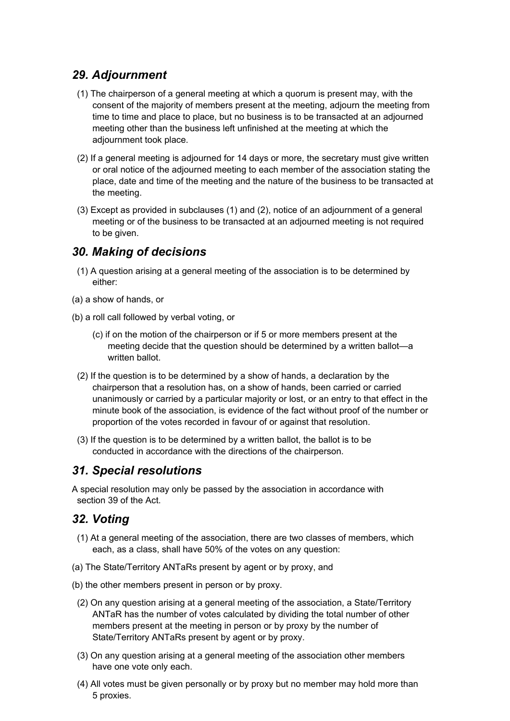# *29. Adjournment*

- (1) The chairperson of a general meeting at which a quorum is present may, with the consent of the majority of members present at the meeting, adjourn the meeting from time to time and place to place, but no business is to be transacted at an adjourned meeting other than the business left unfinished at the meeting at which the adjournment took place.
- (2) If a general meeting is adjourned for 14 days or more, the secretary must give written or oral notice of the adjourned meeting to each member of the association stating the place, date and time of the meeting and the nature of the business to be transacted at the meeting.
- (3) Except as provided in subclauses (1) and (2), notice of an adjournment of a general meeting or of the business to be transacted at an adjourned meeting is not required to be given.

#### *30. Making of decisions*

- (1) A question arising at a general meeting of the association is to be determined by either:
- (a) a show of hands, or
- (b) a roll call followed by verbal voting, or
	- (c) if on the motion of the chairperson or if 5 or more members present at the meeting decide that the question should be determined by a written ballot—a written ballot.
	- (2) If the question is to be determined by a show of hands, a declaration by the chairperson that a resolution has, on a show of hands, been carried or carried unanimously or carried by a particular majority or lost, or an entry to that effect in the minute book of the association, is evidence of the fact without proof of the number or proportion of the votes recorded in favour of or against that resolution.
	- (3) If the question is to be determined by a written ballot, the ballot is to be conducted in accordance with the directions of the chairperson.

#### *31. Special resolutions*

A special resolution may only be passed by the association in accordance with section 39 of the Act.

#### *32. Voting*

- (1) At a general meeting of the association, there are two classes of members, which each, as a class, shall have 50% of the votes on any question:
- (a) The State/Territory ANTaRs present by agent or by proxy, and
- (b) the other members present in person or by proxy.
	- (2) On any question arising at a general meeting of the association, a State/Territory ANTaR has the number of votes calculated by dividing the total number of other members present at the meeting in person or by proxy by the number of State/Territory ANTaRs present by agent or by proxy.
	- (3) On any question arising at a general meeting of the association other members have one vote only each.
	- (4) All votes must be given personally or by proxy but no member may hold more than 5 proxies.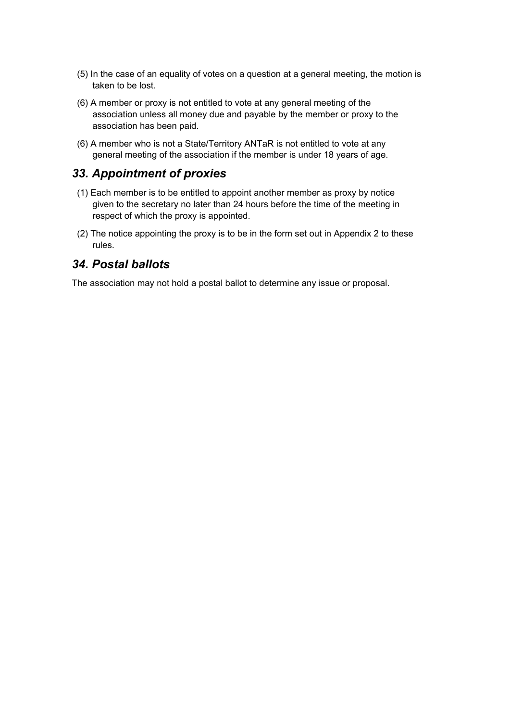- (5) In the case of an equality of votes on a question at a general meeting, the motion is taken to be lost.
- (6) A member or proxy is not entitled to vote at any general meeting of the association unless all money due and payable by the member or proxy to the association has been paid.
- (6) A member who is not a State/Territory ANTaR is not entitled to vote at any general meeting of the association if the member is under 18 years of age.

#### *33. Appointment of proxies*

- (1) Each member is to be entitled to appoint another member as proxy by notice given to the secretary no later than 24 hours before the time of the meeting in respect of which the proxy is appointed.
- (2) The notice appointing the proxy is to be in the form set out in Appendix 2 to these rules.

#### *34. Postal ballots*

The association may not hold a postal ballot to determine any issue or proposal.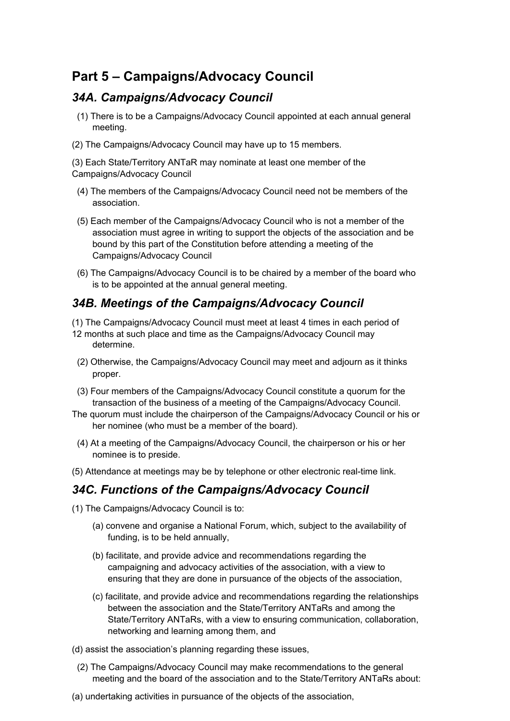# **Part 5 – Campaigns/Advocacy Council**

#### *34A. Campaigns/Advocacy Council*

- (1) There is to be a Campaigns/Advocacy Council appointed at each annual general meeting.
- (2) The Campaigns/Advocacy Council may have up to 15 members.

(3) Each State/Territory ANTaR may nominate at least one member of the Campaigns/Advocacy Council

- (4) The members of the Campaigns/Advocacy Council need not be members of the association.
- (5) Each member of the Campaigns/Advocacy Council who is not a member of the association must agree in writing to support the objects of the association and be bound by this part of the Constitution before attending a meeting of the Campaigns/Advocacy Council
- (6) The Campaigns/Advocacy Council is to be chaired by a member of the board who is to be appointed at the annual general meeting.

#### *34B. Meetings of the Campaigns/Advocacy Council*

- (1) The Campaigns/Advocacy Council must meet at least 4 times in each period of
- 12 months at such place and time as the Campaigns/Advocacy Council may determine.
- (2) Otherwise, the Campaigns/Advocacy Council may meet and adjourn as it thinks proper.
- (3) Four members of the Campaigns/Advocacy Council constitute a quorum for the transaction of the business of a meeting of the Campaigns/Advocacy Council.
- The quorum must include the chairperson of the Campaigns/Advocacy Council or his or her nominee (who must be a member of the board).
- (4) At a meeting of the Campaigns/Advocacy Council, the chairperson or his or her nominee is to preside.
- (5) Attendance at meetings may be by telephone or other electronic real-time link.

#### *34C. Functions of the Campaigns/Advocacy Council*

- (1) The Campaigns/Advocacy Council is to:
	- (a) convene and organise a National Forum, which, subject to the availability of funding, is to be held annually,
	- (b) facilitate, and provide advice and recommendations regarding the campaigning and advocacy activities of the association, with a view to ensuring that they are done in pursuance of the objects of the association,
	- (c) facilitate, and provide advice and recommendations regarding the relationships between the association and the State/Territory ANTaRs and among the State/Territory ANTaRs, with a view to ensuring communication, collaboration, networking and learning among them, and
- (d) assist the association's planning regarding these issues,
	- (2) The Campaigns/Advocacy Council may make recommendations to the general meeting and the board of the association and to the State/Territory ANTaRs about:
- (a) undertaking activities in pursuance of the objects of the association,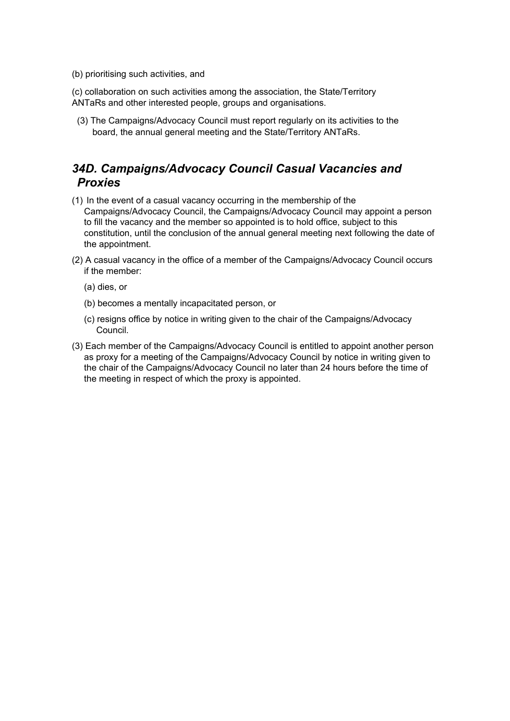(b) prioritising such activities, and

(c) collaboration on such activities among the association, the State/Territory ANTaRs and other interested people, groups and organisations.

(3) The Campaigns/Advocacy Council must report regularly on its activities to the board, the annual general meeting and the State/Territory ANTaRs.

# *34D. Campaigns/Advocacy Council Casual Vacancies and Proxies*

- (1) In the event of a casual vacancy occurring in the membership of the Campaigns/Advocacy Council, the Campaigns/Advocacy Council may appoint a person to fill the vacancy and the member so appointed is to hold office, subject to this constitution, until the conclusion of the annual general meeting next following the date of the appointment.
- (2) A casual vacancy in the office of a member of the Campaigns/Advocacy Council occurs if the member:
	- (a) dies, or
	- (b) becomes a mentally incapacitated person, or
	- (c) resigns office by notice in writing given to the chair of the Campaigns/Advocacy Council.
- (3) Each member of the Campaigns/Advocacy Council is entitled to appoint another person as proxy for a meeting of the Campaigns/Advocacy Council by notice in writing given to the chair of the Campaigns/Advocacy Council no later than 24 hours before the time of the meeting in respect of which the proxy is appointed.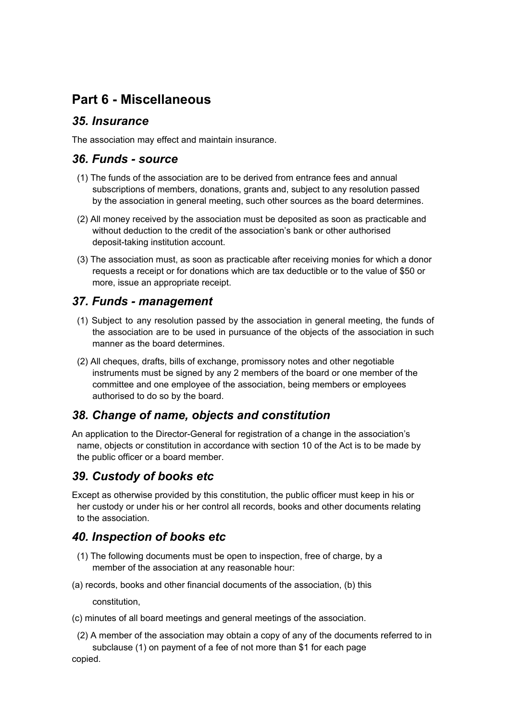# **Part 6 - Miscellaneous**

#### *35. Insurance*

The association may effect and maintain insurance.

#### *36. Funds - source*

- (1) The funds of the association are to be derived from entrance fees and annual subscriptions of members, donations, grants and, subject to any resolution passed by the association in general meeting, such other sources as the board determines.
- (2) All money received by the association must be deposited as soon as practicable and without deduction to the credit of the association's bank or other authorised deposit-taking institution account.
- (3) The association must, as soon as practicable after receiving monies for which a donor requests a receipt or for donations which are tax deductible or to the value of \$50 or more, issue an appropriate receipt.

#### *37. Funds - management*

- (1) Subject to any resolution passed by the association in general meeting, the funds of the association are to be used in pursuance of the objects of the association in such manner as the board determines.
- (2) All cheques, drafts, bills of exchange, promissory notes and other negotiable instruments must be signed by any 2 members of the board or one member of the committee and one employee of the association, being members or employees authorised to do so by the board.

### *38. Change of name, objects and constitution*

An application to the Director-General for registration of a change in the association's name, objects or constitution in accordance with section 10 of the Act is to be made by the public officer or a board member.

### *39. Custody of books etc*

Except as otherwise provided by this constitution, the public officer must keep in his or her custody or under his or her control all records, books and other documents relating to the association.

### *40. Inspection of books etc*

- (1) The following documents must be open to inspection, free of charge, by a member of the association at any reasonable hour:
- (a) records, books and other financial documents of the association, (b) this

constitution,

- (c) minutes of all board meetings and general meetings of the association.
	- (2) A member of the association may obtain a copy of any of the documents referred to in subclause (1) on payment of a fee of not more than \$1 for each page

copied.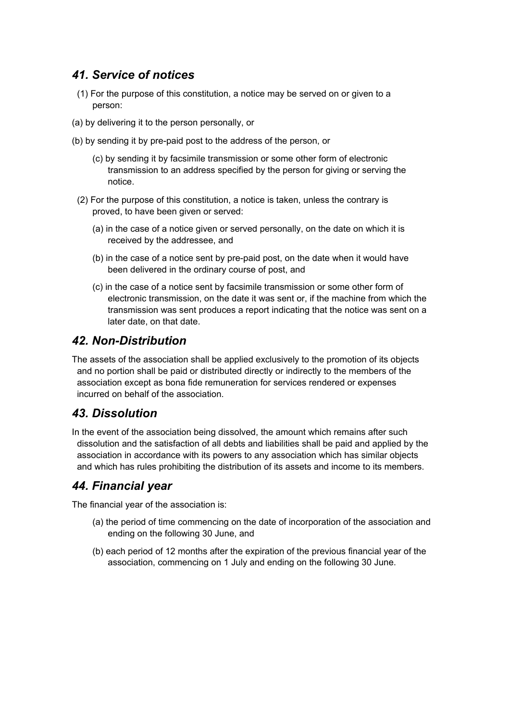# *41. Service of notices*

- (1) For the purpose of this constitution, a notice may be served on or given to a person:
- (a) by delivering it to the person personally, or
- (b) by sending it by pre-paid post to the address of the person, or
	- (c) by sending it by facsimile transmission or some other form of electronic transmission to an address specified by the person for giving or serving the notice.
	- (2) For the purpose of this constitution, a notice is taken, unless the contrary is proved, to have been given or served:
		- (a) in the case of a notice given or served personally, on the date on which it is received by the addressee, and
		- (b) in the case of a notice sent by pre-paid post, on the date when it would have been delivered in the ordinary course of post, and
		- (c) in the case of a notice sent by facsimile transmission or some other form of electronic transmission, on the date it was sent or, if the machine from which the transmission was sent produces a report indicating that the notice was sent on a later date, on that date.

#### *42. Non-Distribution*

The assets of the association shall be applied exclusively to the promotion of its objects and no portion shall be paid or distributed directly or indirectly to the members of the association except as bona fide remuneration for services rendered or expenses incurred on behalf of the association.

### *43. Dissolution*

In the event of the association being dissolved, the amount which remains after such dissolution and the satisfaction of all debts and liabilities shall be paid and applied by the association in accordance with its powers to any association which has similar objects and which has rules prohibiting the distribution of its assets and income to its members.

### *44. Financial year*

The financial year of the association is:

- (a) the period of time commencing on the date of incorporation of the association and ending on the following 30 June, and
- (b) each period of 12 months after the expiration of the previous financial year of the association, commencing on 1 July and ending on the following 30 June.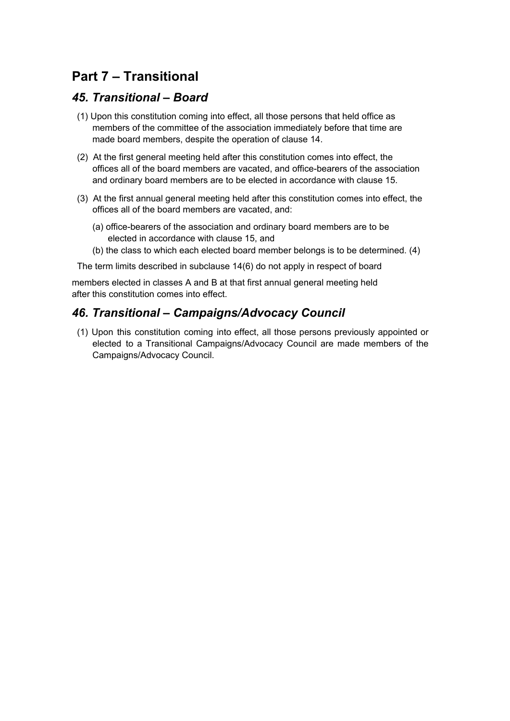# **Part 7 – Transitional**

#### *45. Transitional – Board*

- (1) Upon this constitution coming into effect, all those persons that held office as members of the committee of the association immediately before that time are made board members, despite the operation of clause 14.
- (2) At the first general meeting held after this constitution comes into effect, the offices all of the board members are vacated, and office-bearers of the association and ordinary board members are to be elected in accordance with clause 15.
- (3) At the first annual general meeting held after this constitution comes into effect, the offices all of the board members are vacated, and:
	- (a) office-bearers of the association and ordinary board members are to be elected in accordance with clause 15, and
	- (b) the class to which each elected board member belongs is to be determined. (4)

The term limits described in subclause 14(6) do not apply in respect of board

members elected in classes A and B at that first annual general meeting held after this constitution comes into effect.

### *46. Transitional – Campaigns/Advocacy Council*

(1) Upon this constitution coming into effect, all those persons previously appointed or elected to a Transitional Campaigns/Advocacy Council are made members of the Campaigns/Advocacy Council.